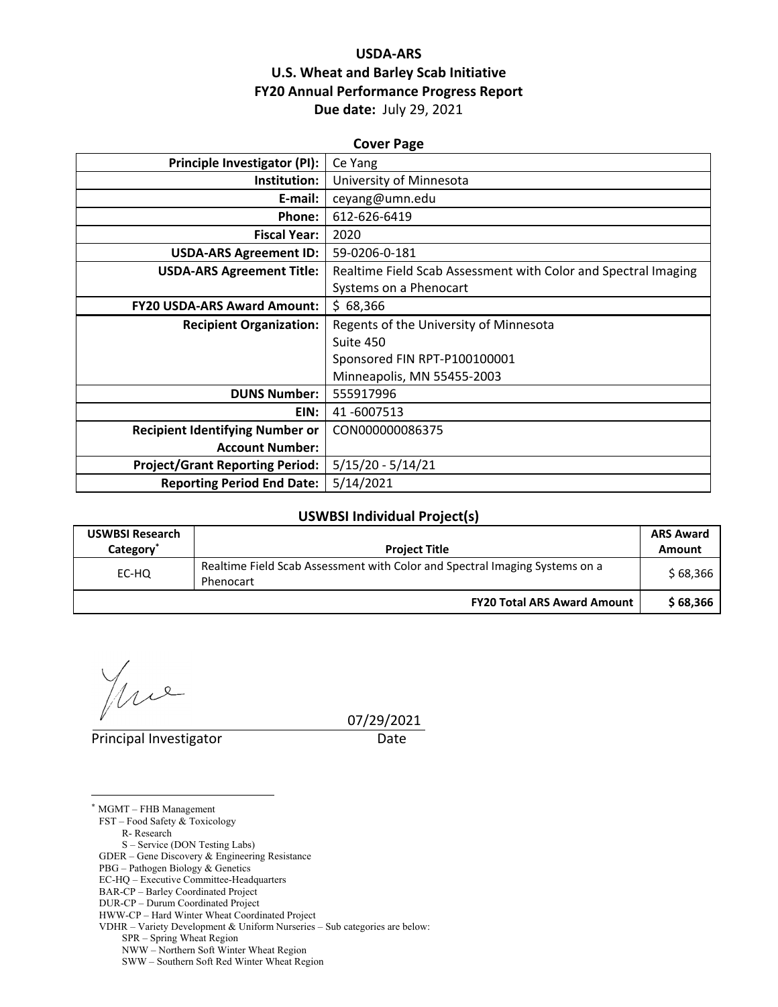# **USDA‐ARS U.S. Wheat and Barley Scab Initiative FY20 Annual Performance Progress Report Due date:** July 29, 2021

| <b>Cover Page</b>                      |                                                                |  |  |  |
|----------------------------------------|----------------------------------------------------------------|--|--|--|
| <b>Principle Investigator (PI):</b>    | Ce Yang                                                        |  |  |  |
| Institution:                           | University of Minnesota                                        |  |  |  |
| E-mail:                                | ceyang@umn.edu                                                 |  |  |  |
| Phone:                                 | 612-626-6419                                                   |  |  |  |
| <b>Fiscal Year:</b>                    | 2020                                                           |  |  |  |
| <b>USDA-ARS Agreement ID:</b>          | 59-0206-0-181                                                  |  |  |  |
| <b>USDA-ARS Agreement Title:</b>       | Realtime Field Scab Assessment with Color and Spectral Imaging |  |  |  |
|                                        | Systems on a Phenocart                                         |  |  |  |
| <b>FY20 USDA-ARS Award Amount:</b>     | \$68,366                                                       |  |  |  |
| <b>Recipient Organization:</b>         | Regents of the University of Minnesota                         |  |  |  |
|                                        | Suite 450                                                      |  |  |  |
|                                        | Sponsored FIN RPT-P100100001                                   |  |  |  |
|                                        | Minneapolis, MN 55455-2003                                     |  |  |  |
| <b>DUNS Number:</b>                    | 555917996                                                      |  |  |  |
| EIN:                                   | 41-6007513                                                     |  |  |  |
| <b>Recipient Identifying Number or</b> | CON000000086375                                                |  |  |  |
| <b>Account Number:</b>                 |                                                                |  |  |  |
| <b>Project/Grant Reporting Period:</b> | $5/15/20 - 5/14/21$                                            |  |  |  |
| <b>Reporting Period End Date:</b>      | 5/14/2021                                                      |  |  |  |

### **USWBSI Individual Project(s)**

| <b>USWBSI Research</b><br>Category <sup>®</sup> | <b>Project Title</b>                                                                     | <b>ARS Award</b><br>Amount |
|-------------------------------------------------|------------------------------------------------------------------------------------------|----------------------------|
| EC-HQ                                           | Realtime Field Scab Assessment with Color and Spectral Imaging Systems on a<br>Phenocart | \$68,366                   |
|                                                 | <b>FY20 Total ARS Award Amount</b>                                                       | \$68.366                   |

 $2$ 

 $\overline{a}$ 

Principal Investigator **Date** 

07/29/2021

\* MGMT – FHB Management FST – Food Safety & Toxicology R- Research S – Service (DON Testing Labs) GDER – Gene Discovery & Engineering Resistance PBG – Pathogen Biology & Genetics EC-HQ – Executive Committee-Headquarters BAR-CP – Barley Coordinated Project DUR-CP – Durum Coordinated Project HWW-CP – Hard Winter Wheat Coordinated Project VDHR – Variety Development & Uniform Nurseries – Sub categories are below: SPR – Spring Wheat Region

NWW – Northern Soft Winter Wheat Region

SWW – Southern Soft Red Winter Wheat Region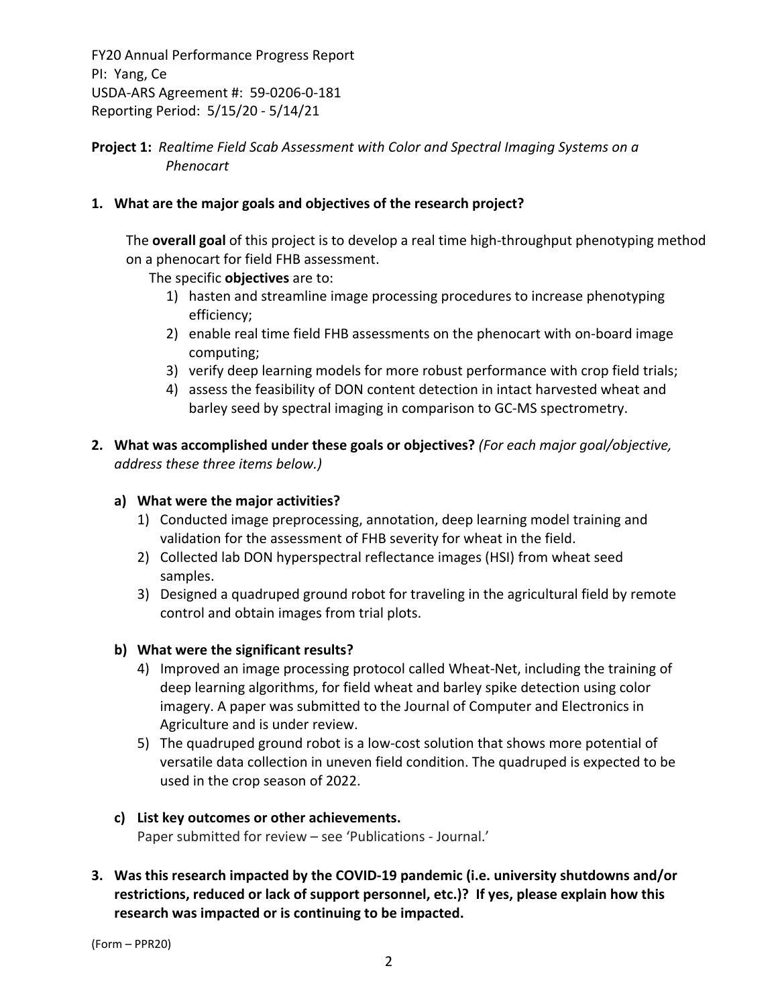# **Project 1:** *Realtime Field Scab Assessment with Color and Spectral Imaging Systems on a Phenocart*

# **1. What are the major goals and objectives of the research project?**

The **overall goal** of this project is to develop a real time high‐throughput phenotyping method on a phenocart for field FHB assessment.

The specific **objectives** are to:

- 1) hasten and streamline image processing procedures to increase phenotyping efficiency;
- 2) enable real time field FHB assessments on the phenocart with on‐board image computing;
- 3) verify deep learning models for more robust performance with crop field trials;
- 4) assess the feasibility of DON content detection in intact harvested wheat and barley seed by spectral imaging in comparison to GC‐MS spectrometry.
- **2. What was accomplished under these goals or objectives?** *(For each major goal/objective, address these three items below.)*

# **a) What were the major activities?**

- 1) Conducted image preprocessing, annotation, deep learning model training and validation for the assessment of FHB severity for wheat in the field.
- 2) Collected lab DON hyperspectral reflectance images (HSI) from wheat seed samples.
- 3) Designed a quadruped ground robot for traveling in the agricultural field by remote control and obtain images from trial plots.

# **b) What were the significant results?**

- 4) Improved an image processing protocol called Wheat‐Net, including the training of deep learning algorithms, for field wheat and barley spike detection using color imagery. A paper was submitted to the Journal of Computer and Electronics in Agriculture and is under review.
- 5) The quadruped ground robot is a low‐cost solution that shows more potential of versatile data collection in uneven field condition. The quadruped is expected to be used in the crop season of 2022.

# **c) List key outcomes or other achievements.**

Paper submitted for review – see 'Publications ‐ Journal.'

**3. Was this research impacted by the COVID‐19 pandemic (i.e. university shutdowns and/or restrictions, reduced or lack of support personnel, etc.)? If yes, please explain how this research was impacted or is continuing to be impacted.**

(Form – PPR20)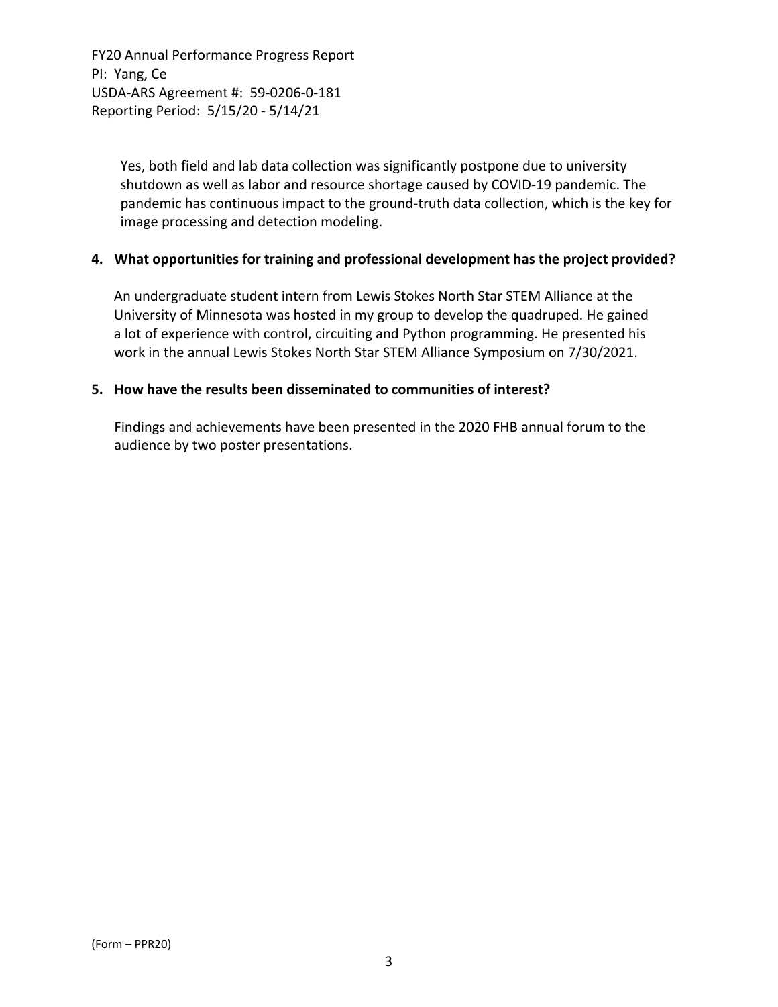> Yes, both field and lab data collection was significantly postpone due to university shutdown as well as labor and resource shortage caused by COVID‐19 pandemic. The pandemic has continuous impact to the ground-truth data collection, which is the key for image processing and detection modeling.

#### **4. What opportunities for training and professional development has the project provided?**

An undergraduate student intern from Lewis Stokes North Star STEM Alliance at the University of Minnesota was hosted in my group to develop the quadruped. He gained a lot of experience with control, circuiting and Python programming. He presented his work in the annual Lewis Stokes North Star STEM Alliance Symposium on 7/30/2021.

#### **5. How have the results been disseminated to communities of interest?**

Findings and achievements have been presented in the 2020 FHB annual forum to the audience by two poster presentations.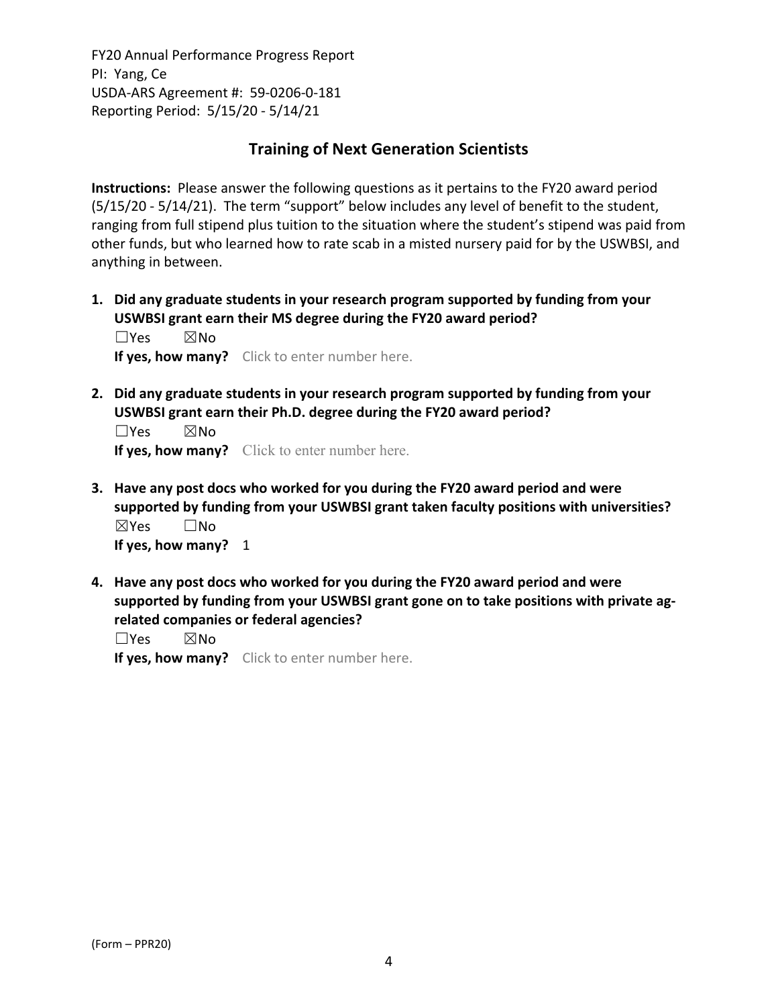# **Training of Next Generation Scientists**

**Instructions:** Please answer the following questions as it pertains to the FY20 award period (5/15/20 ‐ 5/14/21). The term "support" below includes any level of benefit to the student, ranging from full stipend plus tuition to the situation where the student's stipend was paid from other funds, but who learned how to rate scab in a misted nursery paid for by the USWBSI, and anything in between.

**1. Did any graduate students in your research program supported by funding from your USWBSI grant earn their MS degree during the FY20 award period?** ☐Yes ☒No

**If yes, how many?** Click to enter number here.

**2. Did any graduate students in your research program supported by funding from your USWBSI grant earn their Ph.D. degree during the FY20 award period?**

☐Yes ☒No **If yes, how many?** Click to enter number here.

- **3. Have any post docs who worked for you during the FY20 award period and were supported by funding from your USWBSI grant taken faculty positions with universities?** ☒Yes ☐No **If yes, how many?** 1
- **4. Have any post docs who worked for you during the FY20 award period and were supported by funding from your USWBSI grant gone on to take positions with private ag‐ related companies or federal agencies?**

☐Yes ☒No

**If yes, how many?** Click to enter number here.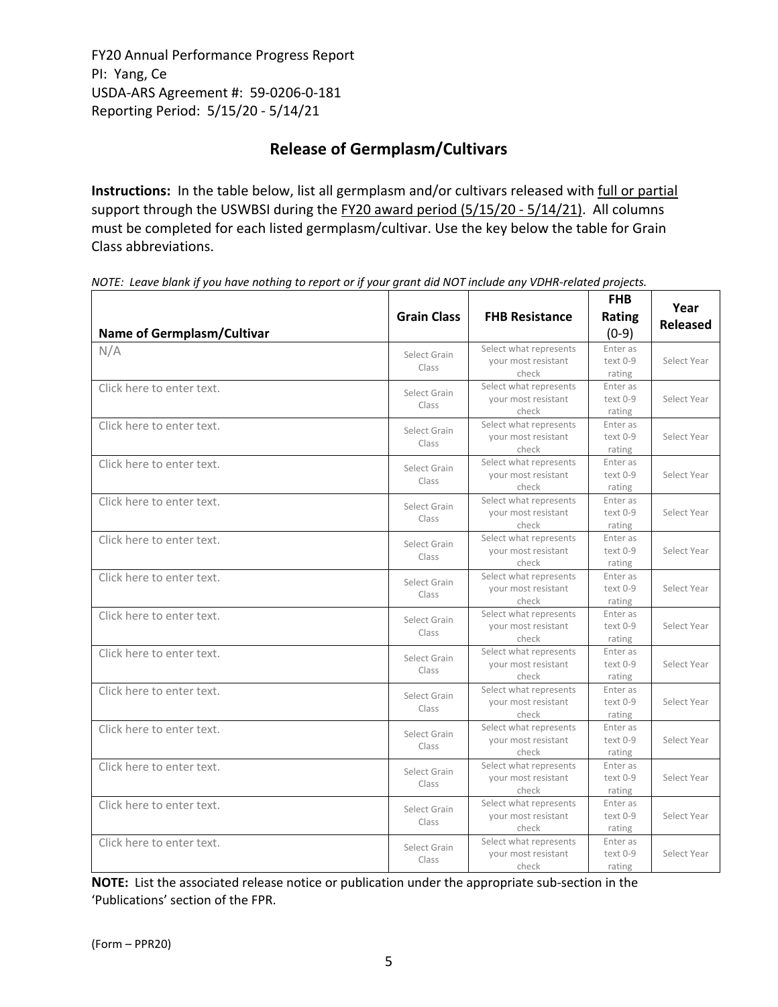# **Release of Germplasm/Cultivars**

**Instructions:** In the table below, list all germplasm and/or cultivars released with full or partial support through the USWBSI during the FY20 award period (5/15/20 - 5/14/21). All columns must be completed for each listed germplasm/cultivar. Use the key below the table for Grain Class abbreviations. 

| <b>Name of Germplasm/Cultivar</b> | <b>Grain Class</b>    | <b>FHB Resistance</b>                                  | <b>FHB</b><br>Rating<br>$(0-9)$ | Year<br><b>Released</b> |
|-----------------------------------|-----------------------|--------------------------------------------------------|---------------------------------|-------------------------|
| N/A                               | Select Grain<br>Class | Select what represents<br>your most resistant<br>check | Enter as<br>text 0-9<br>rating  | Select Year             |
| Click here to enter text.         | Select Grain<br>Class | Select what represents<br>your most resistant<br>check | Enter as<br>text 0-9<br>rating  | Select Year             |
| Click here to enter text.         | Select Grain<br>Class | Select what represents<br>your most resistant<br>check | Enter as<br>text 0-9<br>rating  | Select Year             |
| Click here to enter text.         | Select Grain<br>Class | Select what represents<br>your most resistant<br>check | Enter as<br>text 0-9<br>rating  | Select Year             |
| Click here to enter text.         | Select Grain<br>Class | Select what represents<br>your most resistant<br>check | Enter as<br>text 0-9<br>rating  | Select Year             |
| Click here to enter text.         | Select Grain<br>Class | Select what represents<br>your most resistant<br>check | Enter as<br>text 0-9<br>rating  | Select Year             |
| Click here to enter text.         | Select Grain<br>Class | Select what represents<br>your most resistant<br>check | Enter as<br>text 0-9<br>rating  | Select Year             |
| Click here to enter text.         | Select Grain<br>Class | Select what represents<br>your most resistant<br>check | Enter as<br>text 0-9<br>rating  | Select Year             |
| Click here to enter text.         | Select Grain<br>Class | Select what represents<br>your most resistant<br>check | Enter as<br>text 0-9<br>rating  | Select Year             |
| Click here to enter text.         | Select Grain<br>Class | Select what represents<br>your most resistant<br>check | Enter as<br>text 0-9<br>rating  | Select Year             |
| Click here to enter text.         | Select Grain<br>Class | Select what represents<br>your most resistant<br>check | Enter as<br>text 0-9<br>rating  | Select Year             |
| Click here to enter text.         | Select Grain<br>Class | Select what represents<br>your most resistant<br>check | Enter as<br>text 0-9<br>rating  | Select Year             |
| Click here to enter text.         | Select Grain<br>Class | Select what represents<br>your most resistant<br>check | Enter as<br>text 0-9<br>rating  | Select Year             |
| Click here to enter text.         | Select Grain<br>Class | Select what represents<br>your most resistant<br>check | Enter as<br>text 0-9<br>rating  | Select Year             |

NOTE: Leave blank if you have nothing to report or if your grant did NOT include any VDHR-related projects.

**NOTE:** List the associated release notice or publication under the appropriate sub-section in the 'Publications' section of the FPR.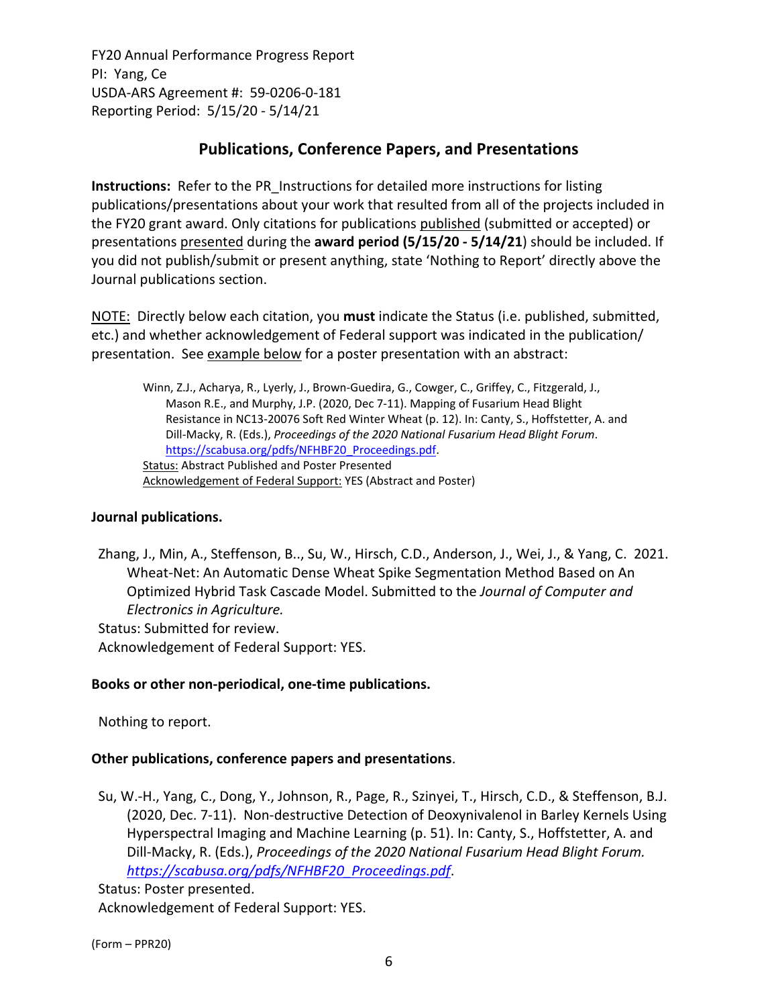# **Publications, Conference Papers, and Presentations**

**Instructions:** Refer to the PR\_Instructions for detailed more instructions for listing publications/presentations about your work that resulted from all of the projects included in the FY20 grant award. Only citations for publications published (submitted or accepted) or presentations presented during the **award period (5/15/20 ‐ 5/14/21**) should be included. If you did not publish/submit or present anything, state 'Nothing to Report' directly above the Journal publications section.

NOTE: Directly below each citation, you **must** indicate the Status (i.e. published, submitted, etc.) and whether acknowledgement of Federal support was indicated in the publication/ presentation. See example below for a poster presentation with an abstract:

Winn, Z.J., Acharya, R., Lyerly, J., Brown‐Guedira, G., Cowger, C., Griffey, C., Fitzgerald, J., Mason R.E., and Murphy, J.P. (2020, Dec 7‐11). Mapping of Fusarium Head Blight Resistance in NC13‐20076 Soft Red Winter Wheat (p. 12). In: Canty, S., Hoffstetter, A. and Dill‐Macky, R. (Eds.), *Proceedings of the 2020 National Fusarium Head Blight Forum*. https://scabusa.org/pdfs/NFHBF20\_Proceedings.pdf. Status: Abstract Published and Poster Presented Acknowledgement of Federal Support: YES (Abstract and Poster)

# **Journal publications.**

Zhang, J., Min, A., Steffenson, B.., Su, W., Hirsch, C.D., Anderson, J., Wei, J., & Yang, C. 2021. Wheat‐Net: An Automatic Dense Wheat Spike Segmentation Method Based on An Optimized Hybrid Task Cascade Model. Submitted to the *Journal of Computer and Electronics in Agriculture.* Status: Submitted for review.

Acknowledgement of Federal Support: YES.

# **Books or other non‐periodical, one‐time publications.**

Nothing to report.

# **Other publications, conference papers and presentations**.

Su, W.‐H., Yang, C., Dong, Y., Johnson, R., Page, R., Szinyei, T., Hirsch, C.D., & Steffenson, B.J. (2020, Dec. 7‐11). Non‐destructive Detection of Deoxynivalenol in Barley Kernels Using Hyperspectral Imaging and Machine Learning (p. 51). In: Canty, S., Hoffstetter, A. and Dill‐Macky, R. (Eds.), *Proceedings of the 2020 National Fusarium Head Blight Forum. https://scabusa.org/pdfs/NFHBF20\_Proceedings.pdf*.

Status: Poster presented. Acknowledgement of Federal Support: YES.

(Form – PPR20)